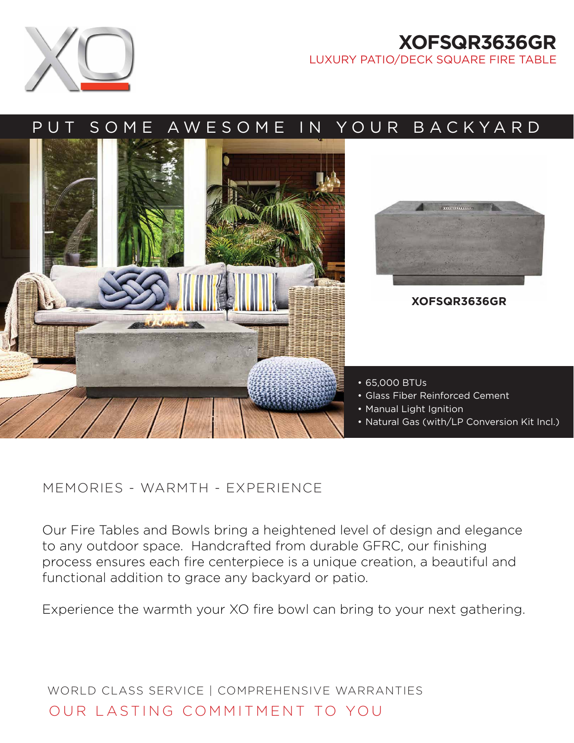

## **XOFSQR3636GR** LUXURY PATIO/DECK SQUARE FIRE TABLE

# PUT SOME AWESOME IN YOUR BACKYARD



### MEMORIES - WARMTH - EXPERIENCE

Our Fire Tables and Bowls bring a heightened level of design and elegance to any outdoor space. Handcrafted from durable GFRC, our finishing process ensures each fire centerpiece is a unique creation, a beautiful and functional addition to grace any backyard or patio.

Experience the warmth your XO fire bowl can bring to your next gathering.

WORLD CLASS SERVICE | COMPREHENSIVE WARRANTIES OUR LASTING COMMITMENT TO YOU